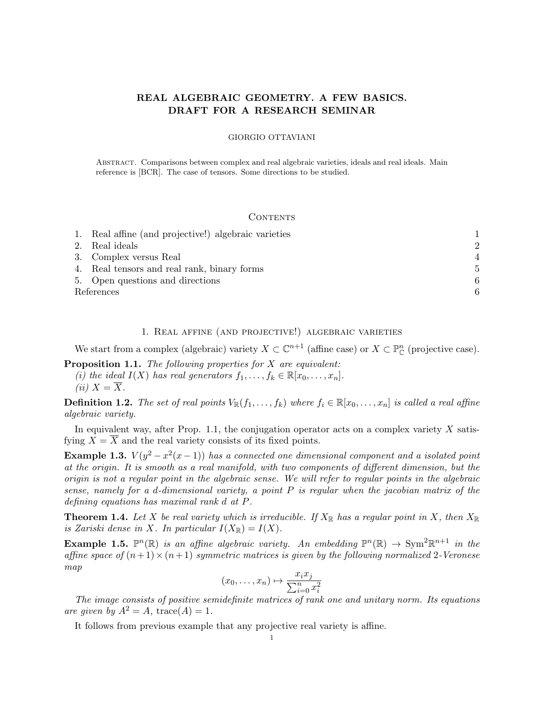## REAL ALGEBRAIC GEOMETRY. A FEW BASICS. DRAFT FOR A RESEARCH SEMINAR

### GIORGIO OTTAVIANI

Abstract. Comparisons between complex and real algebraic varieties, ideals and real ideals. Main reference is [BCR]. The case of tensors. Some directions to be studied.

#### **CONTENTS**

|            | 1. Real affine (and projective!) algebraic varieties |                |
|------------|------------------------------------------------------|----------------|
|            | 2. Real ideals                                       | $\overline{2}$ |
|            | 3. Complex versus Real                               |                |
|            | 4. Real tensors and real rank, binary forms          | 5              |
|            | 5. Open questions and directions                     | 6              |
| References |                                                      |                |

#### 1. Real affine (and projective!) algebraic varieties

We start from a complex (algebraic) variety  $X \subset \mathbb{C}^{n+1}$  (affine case) or  $X \subset \mathbb{P}_{\mathbb{C}}^n$  (projective case).

**Proposition 1.1.** The following properties for  $X$  are equivalent: (i) the ideal  $I(X)$  has real generators  $f_1, \ldots, f_k \in \mathbb{R}[x_0, \ldots, x_n].$ (ii)  $X = \overline{X}$ .

**Definition 1.2.** The set of real points  $V_{\mathbb{R}}(f_1, \ldots, f_k)$  where  $f_i \in \mathbb{R}[x_0, \ldots, x_n]$  is called a real affine algebraic variety.

In equivalent way, after Prop. 1.1, the conjugation operator acts on a complex variety  $X$  satisfying  $X = \overline{X}$  and the real variety consists of its fixed points.

**Example 1.3.**  $V(y^2 - x^2(x-1))$  has a connected one dimensional component and a isolated point at the origin. It is smooth as a real manifold, with two components of different dimension, but the origin is not a regular point in the algebraic sense. We will refer to regular points in the algebraic sense, namely for a d-dimensional variety, a point P is regular when the jacobian matrix of the defining equations has maximal rank d at P.

**Theorem 1.4.** Let X be real variety which is irreducible. If  $X_{\mathbb{R}}$  has a regular point in X, then  $X_{\mathbb{R}}$ is Zariski dense in X. In particular  $I(X_{\mathbb{R}}) = I(X)$ .

**Example 1.5.**  $\mathbb{P}^n(\mathbb{R})$  is an affine algebraic variety. An embedding  $\mathbb{P}^n(\mathbb{R}) \to \text{Sym}^2 \mathbb{R}^{n+1}$  in the affine space of  $(n+1)\times(n+1)$  symmetric matrices is given by the following normalized 2-Veronese map

$$
(x_0, \ldots, x_n) \mapsto \frac{x_i x_j}{\sum_{i=0}^n x_i^2}
$$

The image consists of positive semidefinite matrices of rank one and unitary norm. Its equations are given by  $A^2 = A$ , trace(A) = 1.

It follows from previous example that any projective real variety is affine.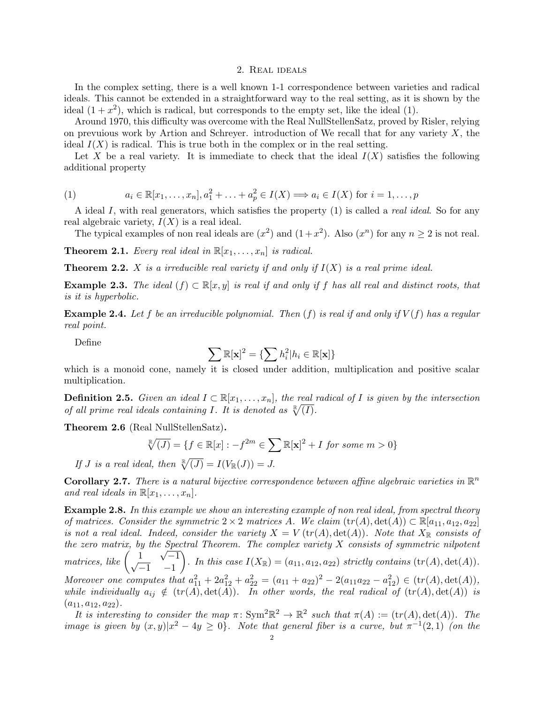### 2. Real ideals

In the complex setting, there is a well known 1-1 correspondence between varieties and radical ideals. This cannot be extended in a straightforward way to the real setting, as it is shown by the ideal  $(1+x^2)$ , which is radical, but corresponds to the empty set, like the ideal  $(1)$ .

Around 1970, this difficulty was overcome with the Real NullStellenSatz, proved by Risler, relying on prevuious work by Artion and Schreyer. introduction of We recall that for any variety  $X$ , the ideal  $I(X)$  is radical. This is true both in the complex or in the real setting.

Let X be a real variety. It is immediate to check that the ideal  $I(X)$  satisfies the following additional property

(1) 
$$
a_i \in \mathbb{R}[x_1,\ldots,x_n], a_1^2 + \ldots + a_p^2 \in I(X) \Longrightarrow a_i \in I(X) \text{ for } i = 1,\ldots,p
$$

A ideal I, with real generators, which satisfies the property  $(1)$  is called a *real ideal*. So for any real algebraic variety,  $I(X)$  is a real ideal.

The typical examples of non real ideals are  $(x^2)$  and  $(1+x^2)$ . Also  $(x^n)$  for any  $n \ge 2$  is not real.

**Theorem 2.1.** Every real ideal in  $\mathbb{R}[x_1, \ldots, x_n]$  is radical.

**Theorem 2.2.** X is a irreducible real variety if and only if  $I(X)$  is a real prime ideal.

Example 2.3. The ideal  $(f) \subset \mathbb{R}[x, y]$  is real if and only if f has all real and distinct roots, that is it is hyperbolic.

**Example 2.4.** Let f be an irreducible polynomial. Then  $(f)$  is real if and only if  $V(f)$  has a regular real point.

Define

$$
\sum \mathbb{R}[\mathbf{x}]^2 = \{\sum h_i^2 | h_i \in \mathbb{R}[\mathbf{x}]\}
$$

which is a monoid cone, namely it is closed under addition, multiplication and positive scalar multiplication.

**Definition 2.5.** Given an ideal  $I \subset \mathbb{R}[x_1,\ldots,x_n]$ , the real radical of I is given by the intersection of all prime real ideals containing I. It is denoted as  $\sqrt[R]{(I)}$ .

Theorem 2.6 (Real NullStellenSatz).

$$
\sqrt[\mathbb{R}]{(J)} = \{ f \in \mathbb{R}[x] : -f^{2m} \in \sum \mathbb{R}[\mathbf{x}]^2 + I \text{ for some } m > 0 \}
$$

If J is a real ideal, then  $\sqrt[\mathbb{R}]{(J)} = I(V_{\mathbb{R}}(J)) = J$ .

**Corollary 2.7.** There is a natural bijective correspondence between affine algebraic varieties in  $\mathbb{R}^n$ and real ideals in  $\mathbb{R}[x_1, \ldots, x_n]$ .

**Example 2.8.** In this example we show an interesting example of non real ideal, from spectral theory of matrices. Consider the symmetric  $2 \times 2$  matrices A. We claim  $(tr(A), det(A)) \subset \mathbb{R}[a_{11}, a_{12}, a_{22}]$ is not a real ideal. Indeed, consider the variety  $X = V(tr(A), det(A))$ . Note that  $X_{\mathbb{R}}$  consists of the zero matrix, by the Spectral Theorem. The complex variety  $X$  consists of symmetric nilpotent matrices, like  $\begin{pmatrix} 1 \\ -1 \end{pmatrix}$ √  $\frac{1}{\sqrt{1}}$   $\sqrt{-1}$  $-1$   $-1$ ). In this case  $I(X_{\mathbb{R}}) = (a_{11}, a_{12}, a_{22})$  strictly contains  $(tr(A), det(A)).$ Moreover one computes that  $a_{11}^2 + 2a_{12}^2 + a_{22}^2 = (a_{11} + a_{22})^2 - 2(a_{11}a_{22} - a_{12}^2) \in (tr(A), det(A)),$ while individually  $a_{ij} \notin (tr(A), det(A))$ . In other words, the real radical of  $(tr(A), det(A))$  is  $(a_{11}, a_{12}, a_{22}).$ 

It is interesting to consider the map  $\pi: Sym^2\mathbb{R}^2 \to \mathbb{R}^2$  such that  $\pi(A) := (tr(A), det(A)).$  The image is given by  $(x, y)|x^2 - 4y \ge 0$ . Note that general fiber is a curve, but  $\pi^{-1}(2, 1)$  (on the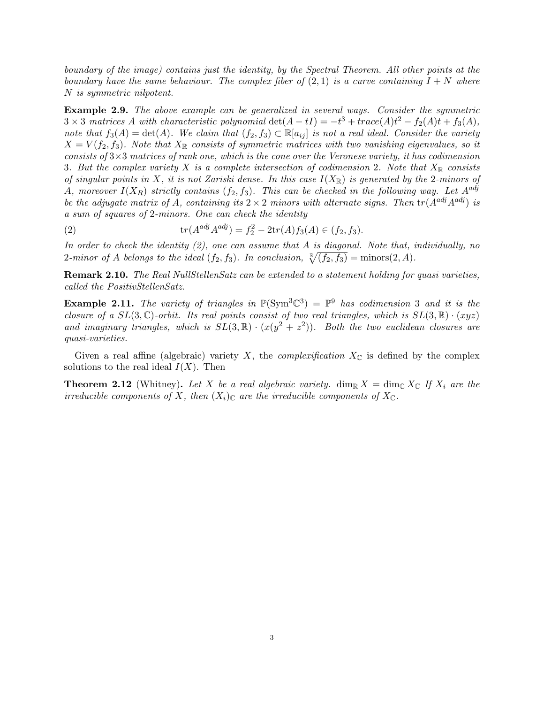boundary of the image) contains just the identity, by the Spectral Theorem. All other points at the boundary have the same behaviour. The complex fiber of  $(2,1)$  is a curve containing  $I + N$  where N is symmetric nilpotent.

Example 2.9. The above example can be generalized in several ways. Consider the symmetric  $3 \times 3$  matrices A with characteristic polynomial  $\det(A - tI) = -t^3 + trace(A)t^2 - f_2(A)t + f_3(A)$ , note that  $f_3(A) = \det(A)$ . We claim that  $(f_2, f_3) \subset \mathbb{R}[a_{ij}]$  is not a real ideal. Consider the variety  $X = V(f_2, f_3)$ . Note that  $X_{\mathbb{R}}$  consists of symmetric matrices with two vanishing eigenvalues, so it consists of  $3\times3$  matrices of rank one, which is the cone over the Veronese variety, it has codimension 3. But the complex variety X is a complete intersection of codimension 2. Note that  $X_{\mathbb{R}}$  consists of singular points in X, it is not Zariski dense. In this case  $I(X_{\mathbb{R}})$  is generated by the 2-minors of A, moreover  $I(X_R)$  strictly contains  $(f_2, f_3)$ . This can be checked in the following way. Let  $A^{adj}$ be the adjugate matrix of A, containing its  $2 \times 2$  minors with alternate signs. Then  $tr(A^{adj}A^{adj})$  is a sum of squares of 2-minors. One can check the identity

(2) 
$$
\operatorname{tr}(A^{adj} A^{adj}) = f_2^2 - 2\operatorname{tr}(A) f_3(A) \in (f_2, f_3).
$$

In order to check the identity (2), one can assume that A is diagonal. Note that, individually, no 2-minor of A belongs to the ideal  $(f_2, f_3)$ . In conclusion,  $\sqrt[R]{(f_2, f_3)} = \text{minors}(2, A)$ .

Remark 2.10. The Real NullStellenSatz can be extended to a statement holding for quasi varieties, called the PositivStellenSatz.

**Example 2.11.** The variety of triangles in  $\mathbb{P}(\text{Sym}^3\mathbb{C}^3) = \mathbb{P}^9$  has codimension 3 and it is the closure of a  $SL(3,\mathbb{C})$ -orbit. Its real points consist of two real triangles, which is  $SL(3,\mathbb{R}) \cdot (xyz)$ and imaginary triangles, which is  $SL(3,\mathbb{R}) \cdot (x(y^2+z^2))$ . Both the two euclidean closures are quasi-varieties.

Given a real affine (algebraic) variety X, the *complexification*  $X_{\mathbb{C}}$  is defined by the complex solutions to the real ideal  $I(X)$ . Then

**Theorem 2.12** (Whitney). Let X be a real algebraic variety.  $\dim_{\mathbb{R}} X = \dim_{\mathbb{C}} X_{\mathbb{C}}$  If  $X_i$  are the irreducible components of X, then  $(X_i)_{\mathbb{C}}$  are the irreducible components of  $X_{\mathbb{C}}$ .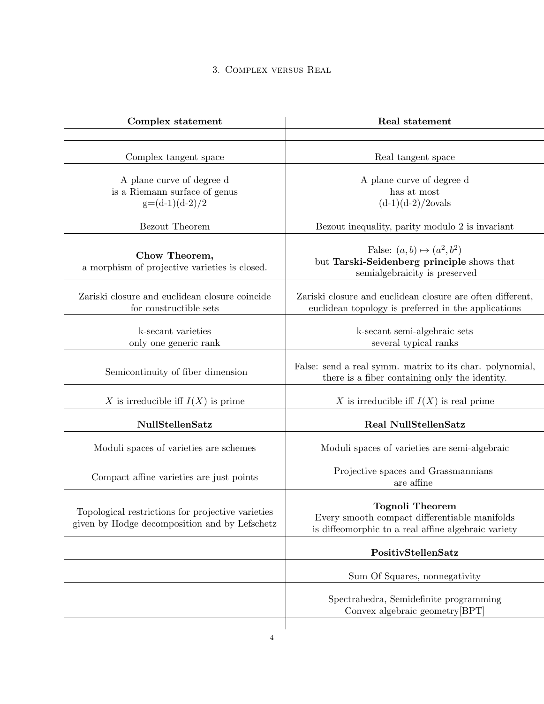# 3. Complex versus Real

| Complex statement                                                                                  | <b>Real statement</b>                                                                                                          |
|----------------------------------------------------------------------------------------------------|--------------------------------------------------------------------------------------------------------------------------------|
|                                                                                                    |                                                                                                                                |
| Complex tangent space                                                                              | Real tangent space                                                                                                             |
| A plane curve of degree d<br>is a Riemann surface of genus<br>$g=(d-1)(d-2)/2$                     | A plane curve of degree d<br>has at most<br>$(d-1)(d-2)/2$ ovals                                                               |
| <b>Bezout</b> Theorem                                                                              | Bezout inequality, parity modulo 2 is invariant                                                                                |
| Chow Theorem,<br>a morphism of projective varieties is closed.                                     | False: $(a, b) \mapsto (a^2, b^2)$<br>but Tarski-Seidenberg principle shows that<br>semialgebraicity is preserved              |
| Zariski closure and euclidean closure coincide<br>for constructible sets                           | Zariski closure and euclidean closure are often different,<br>euclidean topology is preferred in the applications              |
| k-secant varieties<br>only one generic rank                                                        | k-secant semi-algebraic sets<br>several typical ranks                                                                          |
| Semicontinuity of fiber dimension                                                                  | False: send a real symm. matrix to its char. polynomial,<br>there is a fiber containing only the identity.                     |
| X is irreducible iff $I(X)$ is prime                                                               | X is irreducible iff $I(X)$ is real prime                                                                                      |
| NullStellenSatz                                                                                    | Real NullStellenSatz                                                                                                           |
| Moduli spaces of varieties are schemes                                                             | Moduli spaces of varieties are semi-algebraic                                                                                  |
| Compact affine varieties are just points                                                           | Projective spaces and Grassmannians<br>are affine                                                                              |
| Topological restrictions for projective varieties<br>given by Hodge decomposition and by Lefschetz | <b>Tognoli Theorem</b><br>Every smooth compact differentiable manifolds<br>is diffeomorphic to a real affine algebraic variety |
|                                                                                                    | PositivStellenSatz                                                                                                             |
|                                                                                                    | Sum Of Squares, nonnegativity                                                                                                  |
|                                                                                                    | Spectrahedra, Semidefinite programming<br>Convex algebraic geometry [BPT]                                                      |
| $\overline{4}$                                                                                     |                                                                                                                                |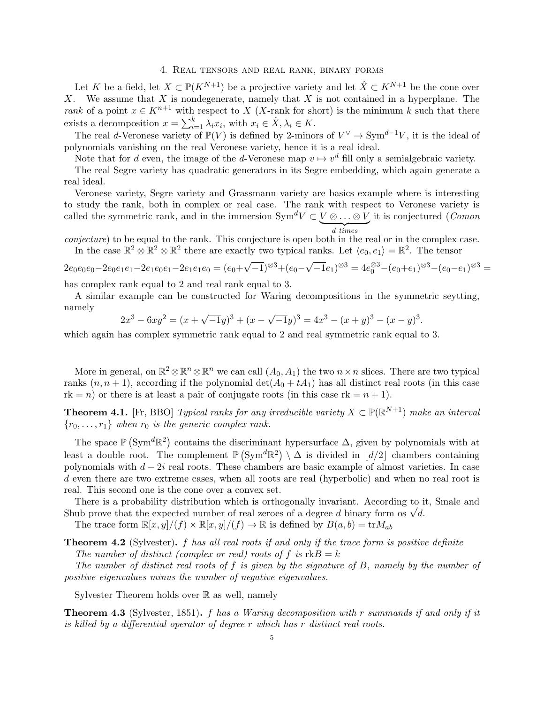#### 4. Real tensors and real rank, binary forms

Let K be a field, let  $X \subset \mathbb{P}(K^{N+1})$  be a projective variety and let  $\hat{X} \subset K^{N+1}$  be the cone over X. We assume that X is nondegenerate, namely that X is not contained in a hyperplane. The rank of a point  $x \in K^{n+1}$  with respect to X (X-rank for short) is the minimum k such that there exists a decomposition  $x = \sum_{i=1}^{k} \lambda_i x_i$ , with  $x_i \in \hat{X}, \lambda_i \in K$ .

The real d-Veronese variety of  $\mathbb{P}(V)$  is defined by 2-minors of  $V^{\vee} \to \text{Sym}^{d-1}V$ , it is the ideal of polynomials vanishing on the real Veronese variety, hence it is a real ideal.

Note that for d even, the image of the d-Veronese map  $v \mapsto v^d$  fill only a semialgebraic variety.

The real Segre variety has quadratic generators in its Segre embedding, which again generate a real ideal.

Veronese variety, Segre variety and Grassmann variety are basics example where is interesting to study the rank, both in complex or real case. The rank with respect to Veronese variety is called the symmetric rank, and in the immersion  $Sym^d V \subset V \otimes \ldots \otimes V$  it is conjectured (*Comon* 

 $\overline{z_{d}}$  times<br>conjecture) to be equal to the rank. This conjecture is open both in the real or in the complex case. In the case  $\mathbb{R}^2 \otimes \mathbb{R}^2 \otimes \mathbb{R}^2$  there are exactly two typical ranks. Let  $\langle e_0, e_1 \rangle = \mathbb{R}^2$ . The tensor

$$
2e_0e_0e_0-2e_0e_1e_1-2e_1e_0e_1-2e_1e_1e_0=(e_0+\sqrt{-1})^{\otimes 3}+(e_0-\sqrt{-1}e_1)^{\otimes 3}=4e_0^{\otimes 3}-(e_0+e_1)^{\otimes 3}-(e_0-e_1)^{\otimes 3}=
$$

has complex rank equal to 2 and real rank equal to 3.

A similar example can be constructed for Waring decompositions in the symmetric seytting, namely √ √

$$
2x3 - 6xy2 = (x + \sqrt{-1}y)3 + (x - \sqrt{-1}y)3 = 4x3 - (x + y)3 - (x - y)3.
$$

which again has complex symmetric rank equal to 2 and real symmetric rank equal to 3.

More in general, on  $\mathbb{R}^2 \otimes \mathbb{R}^n \otimes \mathbb{R}^n$  we can call  $(A_0, A_1)$  the two  $n \times n$  slices. There are two typical ranks  $(n, n + 1)$ , according if the polynomial  $\det(A_0 + tA_1)$  has all distinct real roots (in this case  $rk = n$ ) or there is at least a pair of conjugate roots (in this case  $rk = n + 1$ ).

**Theorem 4.1.** [Fr, BBO] Typical ranks for any irreducible variety  $X \subset \mathbb{P}(\mathbb{R}^{N+1})$  make an interval  ${r_0, \ldots, r_1}$  when  $r_0$  is the generic complex rank.

The space  $\mathbb{P}(\mathrm{Sym}^d\mathbb{R}^2)$  contains the discriminant hypersurface  $\Delta$ , given by polynomials with at least a double root. The complement  $\mathbb{P}(\text{Sym}^d \mathbb{R}^2) \setminus \Delta$  is divided in  $\lfloor d/2 \rfloor$  chambers containing polynomials with  $d - 2i$  real roots. These chambers are basic example of almost varieties. In case d even there are two extreme cases, when all roots are real (hyperbolic) and when no real root is real. This second one is the cone over a convex set.

There is a probability distribution which is orthogonally invariant. According to it, Smale and There is a probability distribution which is orthogonally invariant. According to 1 Shub prove that the expected number of real zeroes of a degree d binary form os  $\sqrt{d}$ . The trace form  $\mathbb{R}[x, y]/(f) \times \mathbb{R}[x, y]/(f) \to \mathbb{R}$  is defined by  $B(a, b) = \text{tr} M_{ab}$ 

**Theorem 4.2** (Sylvester).  $f$  has all real roots if and only if the trace form is positive definite The number of distinct (complex or real) roots of f is  $rkB = k$ 

The number of distinct real roots of f is given by the signature of B, namely by the number of positive eigenvalues minus the number of negative eigenvalues.

Sylvester Theorem holds over R as well, namely

**Theorem 4.3** (Sylvester, 1851). f has a Waring decomposition with r summands if and only if it is killed by a differential operator of degree r which has r distinct real roots.